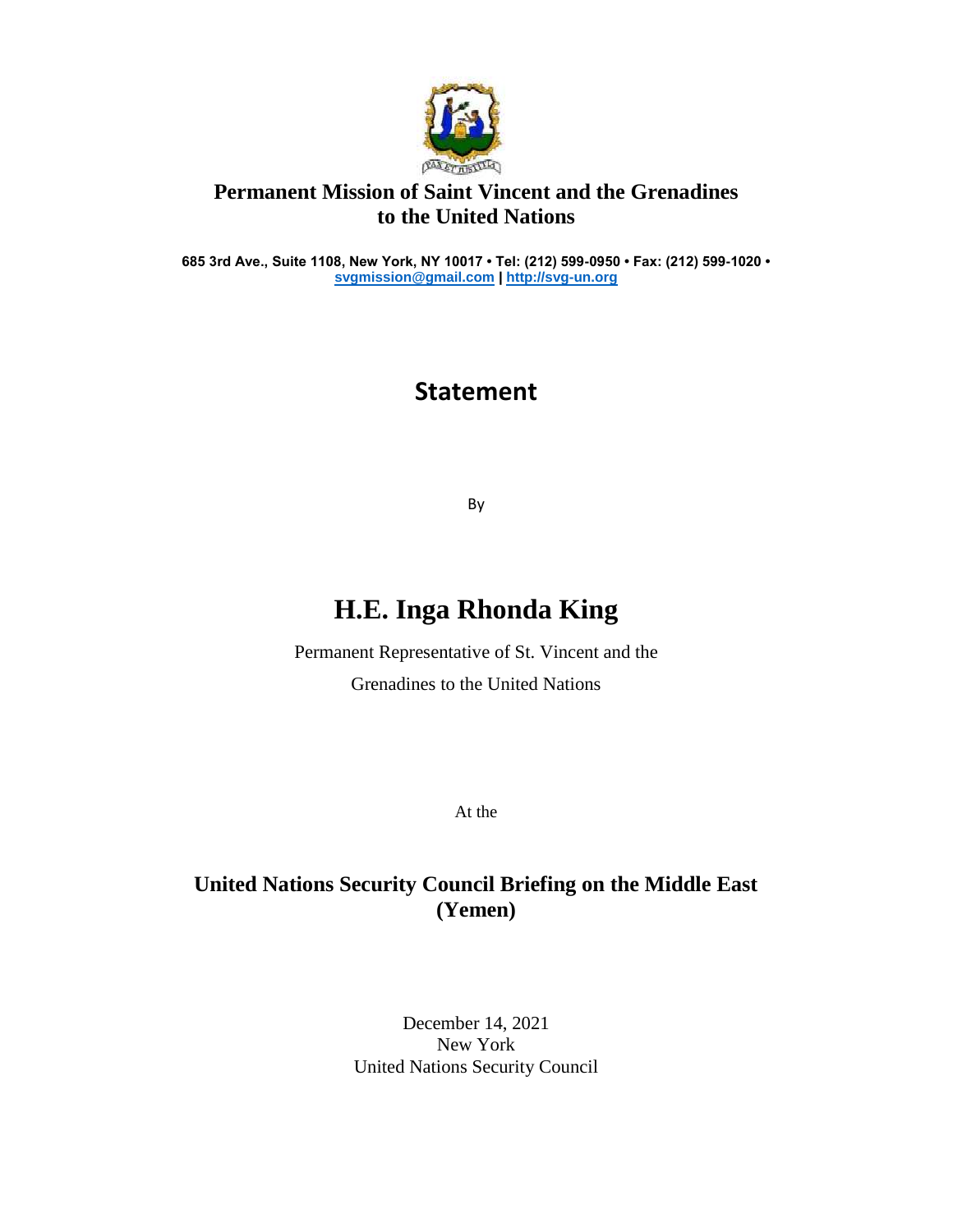

### **Permanent Mission of Saint Vincent and the Grenadines to the United Nations**

**685 3rd Ave., Suite 1108, New York, NY 10017 • Tel: (212) 599-0950 • Fax: (212) 599-1020 • [svgmission@gmail.com](mailto:svgmission@gmail.com) [| http://svg-un.org](http://svg-un.org/)**

## **Statement**

By

# **H.E. Inga Rhonda King**

Permanent Representative of St. Vincent and the Grenadines to the United Nations

At the

### **United Nations Security Council Briefing on the Middle East (Yemen)**

December 14, 2021 New York United Nations Security Council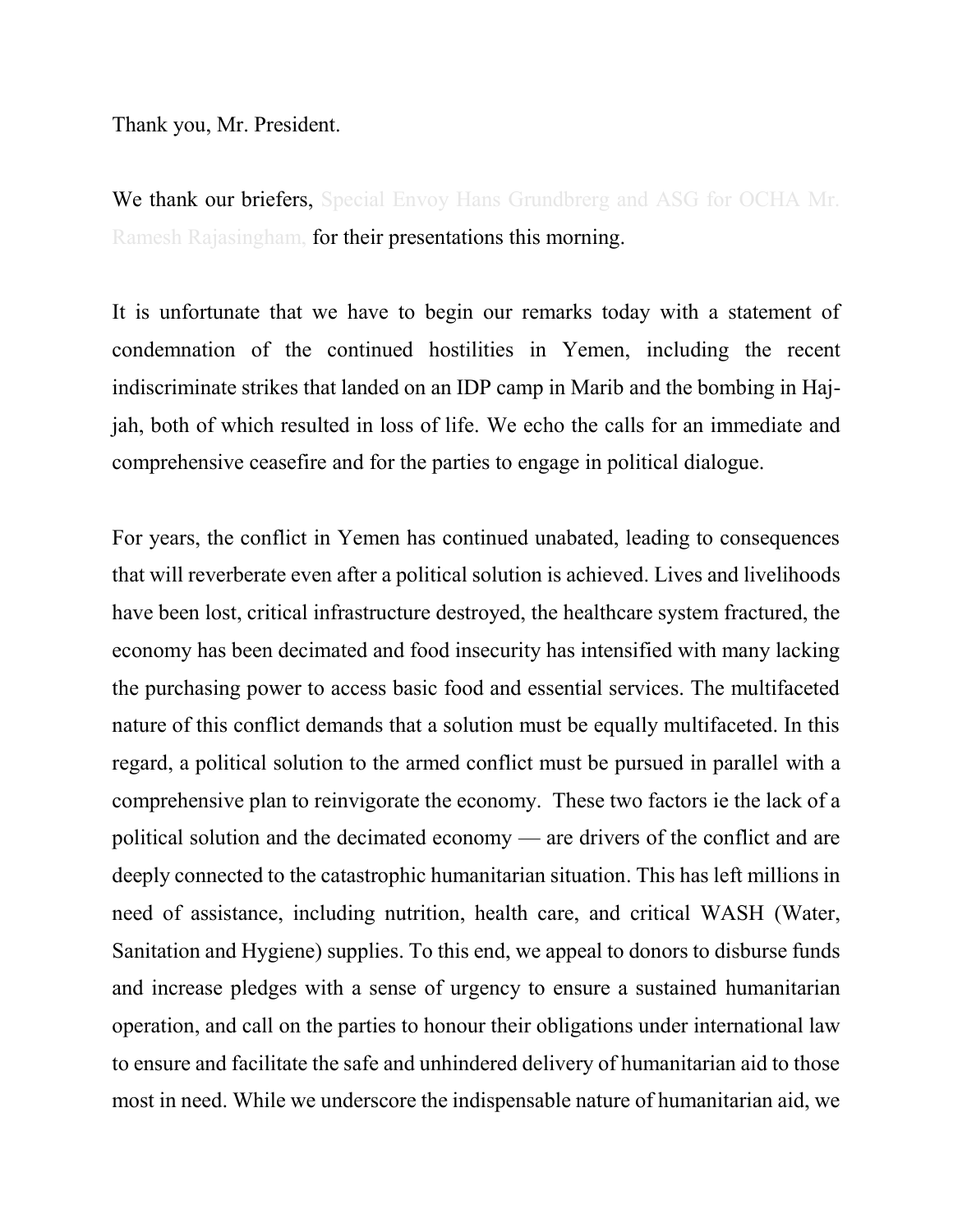Thank you, Mr. President.

We thank our briefers, Special Envoy Hans Grundbrerg and ASG for OCHA Mr. Ramesh Rajasingham, for their presentations this morning.

It is unfortunate that we have to begin our remarks today with a statement of condemnation of the continued hostilities in Yemen, including the recent indiscriminate strikes that landed on an IDP camp in Marib and the bombing in Hajjah, both of which resulted in loss of life. We echo the calls for an immediate and comprehensive ceasefire and for the parties to engage in political dialogue.

For years, the conflict in Yemen has continued unabated, leading to consequences that will reverberate even after a political solution is achieved. Lives and livelihoods have been lost, critical infrastructure destroyed, the healthcare system fractured, the economy has been decimated and food insecurity has intensified with many lacking the purchasing power to access basic food and essential services. The multifaceted nature of this conflict demands that a solution must be equally multifaceted. In this regard, a political solution to the armed conflict must be pursued in parallel with a comprehensive plan to reinvigorate the economy. These two factors ie the lack of a political solution and the decimated economy — are drivers of the conflict and are deeply connected to the catastrophic humanitarian situation. This has left millions in need of assistance, including nutrition, health care, and critical WASH (Water, Sanitation and Hygiene) supplies. To this end, we appeal to donors to disburse funds and increase pledges with a sense of urgency to ensure a sustained humanitarian operation, and call on the parties to honour their obligations under international law to ensure and facilitate the safe and unhindered delivery of humanitarian aid to those most in need. While we underscore the indispensable nature of humanitarian aid, we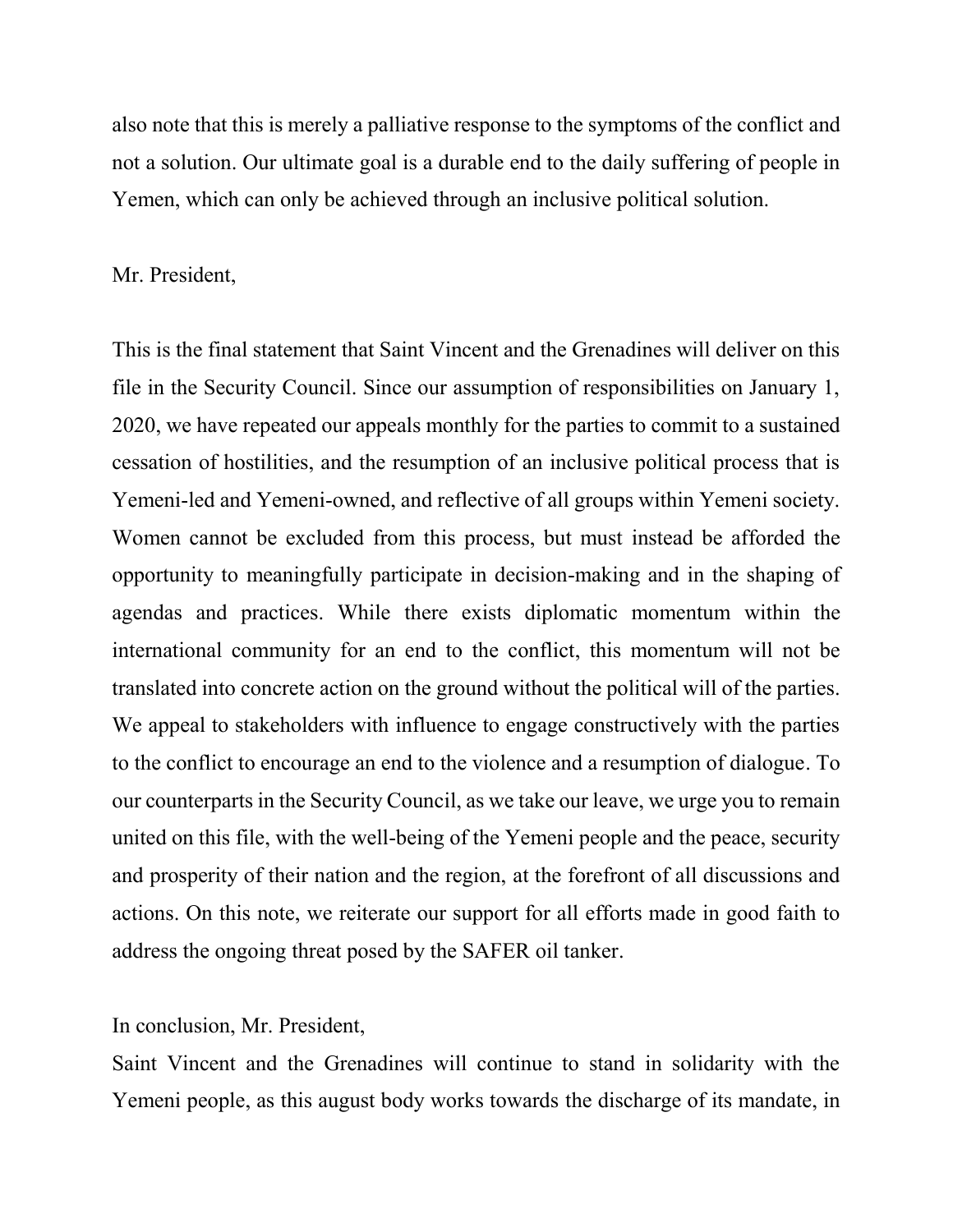also note that this is merely a palliative response to the symptoms of the conflict and not a solution. Our ultimate goal is a durable end to the daily suffering of people in Yemen, which can only be achieved through an inclusive political solution.

#### Mr. President,

This is the final statement that Saint Vincent and the Grenadines will deliver on this file in the Security Council. Since our assumption of responsibilities on January 1, 2020, we have repeated our appeals monthly for the parties to commit to a sustained cessation of hostilities, and the resumption of an inclusive political process that is Yemeni-led and Yemeni-owned, and reflective of all groups within Yemeni society. Women cannot be excluded from this process, but must instead be afforded the opportunity to meaningfully participate in decision-making and in the shaping of agendas and practices. While there exists diplomatic momentum within the international community for an end to the conflict, this momentum will not be translated into concrete action on the ground without the political will of the parties. We appeal to stakeholders with influence to engage constructively with the parties to the conflict to encourage an end to the violence and a resumption of dialogue. To our counterparts in the Security Council, as we take our leave, we urge you to remain united on this file, with the well-being of the Yemeni people and the peace, security and prosperity of their nation and the region, at the forefront of all discussions and actions. On this note, we reiterate our support for all efforts made in good faith to address the ongoing threat posed by the SAFER oil tanker.

#### In conclusion, Mr. President,

Saint Vincent and the Grenadines will continue to stand in solidarity with the Yemeni people, as this august body works towards the discharge of its mandate, in